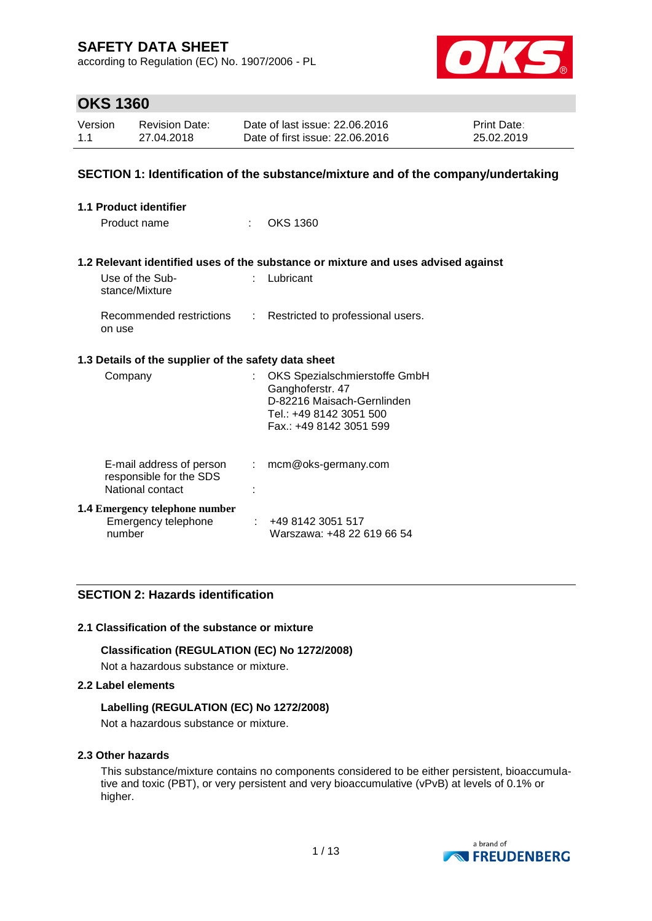according to Regulation (EC) No. 1907/2006 - PL



### **OKS 1360**

| Version | <b>Revision Date:</b> | Date of last issue: 22,06,2016  | <b>Print Date:</b> |
|---------|-----------------------|---------------------------------|--------------------|
| 1.1     | 27.04.2018            | Date of first issue: 22.06.2016 | 25.02.2019         |

#### **SECTION 1: Identification of the substance/mixture and of the company/undertaking**

| <b>1.1 Product identifier</b>                                           |    |                                                                                                                                       |
|-------------------------------------------------------------------------|----|---------------------------------------------------------------------------------------------------------------------------------------|
| Product name                                                            |    | OKS 1360                                                                                                                              |
|                                                                         |    |                                                                                                                                       |
|                                                                         |    | 1.2 Relevant identified uses of the substance or mixture and uses advised against                                                     |
| Use of the Sub-<br>stance/Mixture                                       | t. | Lubricant                                                                                                                             |
| Recommended restrictions<br>on use                                      | ÷. | Restricted to professional users.                                                                                                     |
| 1.3 Details of the supplier of the safety data sheet                    |    |                                                                                                                                       |
| Company                                                                 | t. | OKS Spezialschmierstoffe GmbH<br>Ganghoferstr. 47<br>D-82216 Maisach-Gernlinden<br>Tel.: +49 8142 3051 500<br>Fax.: +49 8142 3051 599 |
| E-mail address of person<br>responsible for the SDS<br>National contact | ÷. | mcm@oks-germany.com                                                                                                                   |
| <b>1.4 Emergency telephone number</b><br>Emergency telephone<br>number  |    | : 4981423051517<br>Warszawa: +48 22 619 66 54                                                                                         |

### **SECTION 2: Hazards identification**

#### **2.1 Classification of the substance or mixture**

**Classification (REGULATION (EC) No 1272/2008)**

Not a hazardous substance or mixture.

#### **2.2 Label elements**

#### **Labelling (REGULATION (EC) No 1272/2008)**

Not a hazardous substance or mixture.

#### **2.3 Other hazards**

This substance/mixture contains no components considered to be either persistent, bioaccumulative and toxic (PBT), or very persistent and very bioaccumulative (vPvB) at levels of 0.1% or higher.

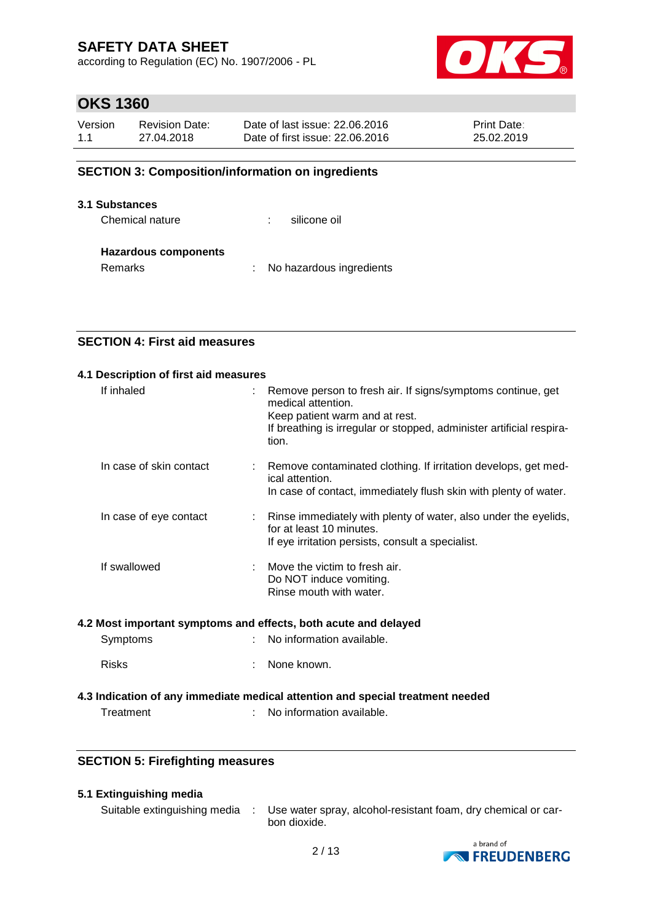according to Regulation (EC) No. 1907/2006 - PL



### **OKS 1360**

| Version | <b>Revision Date:</b> | Date of last issue: 22,06,2016  | <b>Print Date:</b> |
|---------|-----------------------|---------------------------------|--------------------|
| 1.1     | 27.04.2018            | Date of first issue: 22,06,2016 | 25.02.2019         |

### **SECTION 3: Composition/information on ingredients**

#### **3.1 Substances**

Chemical nature  $\qquad \qquad$ : silicone oil

#### **Hazardous components**

Remarks : No hazardous ingredients

### **SECTION 4: First aid measures**

| 4.1 Description of first aid measures |                                                                                                                                                                                                      |
|---------------------------------------|------------------------------------------------------------------------------------------------------------------------------------------------------------------------------------------------------|
| If inhaled                            | Remove person to fresh air. If signs/symptoms continue, get<br>medical attention.<br>Keep patient warm and at rest.<br>If breathing is irregular or stopped, administer artificial respira-<br>tion. |
| In case of skin contact               | Remove contaminated clothing. If irritation develops, get med-<br>ical attention.<br>In case of contact, immediately flush skin with plenty of water.                                                |
| In case of eye contact                | Rinse immediately with plenty of water, also under the eyelids,<br>for at least 10 minutes.<br>If eye irritation persists, consult a specialist.                                                     |
| If swallowed                          | Move the victim to fresh air.<br>Do NOT induce vomiting.<br>Rinse mouth with water.                                                                                                                  |

#### **4.2 Most important symptoms and effects, both acute and delayed**

| Symptoms | No information available. |
|----------|---------------------------|
|----------|---------------------------|

Risks : None known.

### **4.3 Indication of any immediate medical attention and special treatment needed**

Treatment : No information available.

### **SECTION 5: Firefighting measures**

#### **5.1 Extinguishing media**

Suitable extinguishing media : Use water spray, alcohol-resistant foam, dry chemical or carbon dioxide.

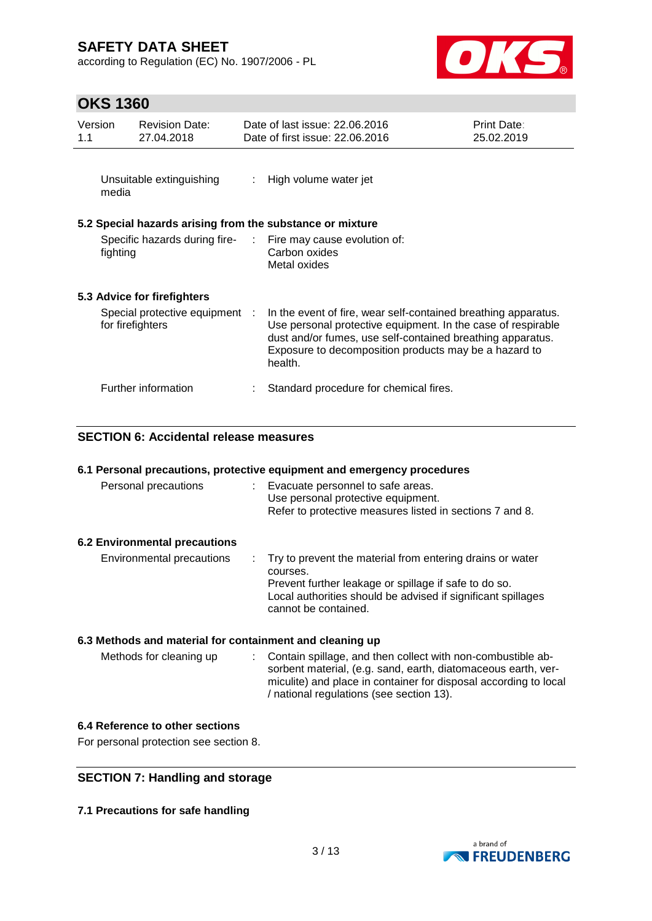according to Regulation (EC) No. 1907/2006 - PL



# **OKS 1360**

| Version<br>1.1 | <b>Revision Date:</b><br>27.04.2018                       | Date of last issue: 22.06.2016<br>Date of first issue: 22.06.2016                                                                                                                                                                                                | Print Date:<br>25.02.2019 |
|----------------|-----------------------------------------------------------|------------------------------------------------------------------------------------------------------------------------------------------------------------------------------------------------------------------------------------------------------------------|---------------------------|
| media          | Unsuitable extinguishing                                  | : High volume water jet                                                                                                                                                                                                                                          |                           |
|                | 5.2 Special hazards arising from the substance or mixture |                                                                                                                                                                                                                                                                  |                           |
| fighting       |                                                           | Specific hazards during fire- : Fire may cause evolution of:<br>Carbon oxides<br>Metal oxides                                                                                                                                                                    |                           |
|                | 5.3 Advice for firefighters                               |                                                                                                                                                                                                                                                                  |                           |
|                | Special protective equipment :<br>for firefighters        | In the event of fire, wear self-contained breathing apparatus.<br>Use personal protective equipment. In the case of respirable<br>dust and/or fumes, use self-contained breathing apparatus.<br>Exposure to decomposition products may be a hazard to<br>health. |                           |
|                | Further information                                       | Standard procedure for chemical fires.                                                                                                                                                                                                                           |                           |

### **SECTION 6: Accidental release measures**

|  |  |  | 6.1 Personal precautions, protective equipment and emergency procedures |
|--|--|--|-------------------------------------------------------------------------|
|--|--|--|-------------------------------------------------------------------------|

| Personal precautions                 | Evacuate personnel to safe areas.<br>Use personal protective equipment.<br>Refer to protective measures listed in sections 7 and 8.                                                                                      |
|--------------------------------------|--------------------------------------------------------------------------------------------------------------------------------------------------------------------------------------------------------------------------|
| <b>6.2 Environmental precautions</b> |                                                                                                                                                                                                                          |
| Environmental precautions            | : Try to prevent the material from entering drains or water<br>courses.<br>Prevent further leakage or spillage if safe to do so.<br>Local authorities should be advised if significant spillages<br>cannot be contained. |

### **6.3 Methods and material for containment and cleaning up**

| Methods for cleaning up | : Contain spillage, and then collect with non-combustible ab-    |
|-------------------------|------------------------------------------------------------------|
|                         | sorbent material, (e.g. sand, earth, diatomaceous earth, ver-    |
|                         | miculite) and place in container for disposal according to local |
|                         | / national regulations (see section 13).                         |

#### **6.4 Reference to other sections**

For personal protection see section 8.

### **SECTION 7: Handling and storage**

**7.1 Precautions for safe handling**

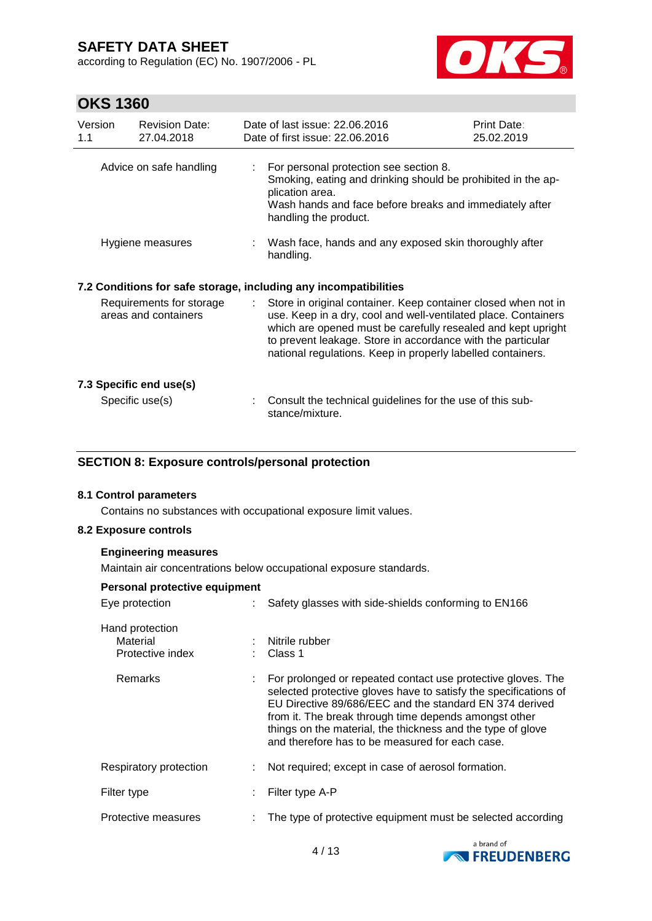according to Regulation (EC) No. 1907/2006 - PL



# **OKS 1360**

| Version<br>1.1                                   | <b>Revision Date:</b><br>27.04.2018 |    | Date of last issue: 22.06.2016<br>Date of first issue: 22.06.2016                                                                                                                                                                                                                                                              | Print Date:<br>25.02.2019 |
|--------------------------------------------------|-------------------------------------|----|--------------------------------------------------------------------------------------------------------------------------------------------------------------------------------------------------------------------------------------------------------------------------------------------------------------------------------|---------------------------|
|                                                  | Advice on safe handling             | ÷. | For personal protection see section 8.<br>Smoking, eating and drinking should be prohibited in the ap-<br>plication area.<br>Wash hands and face before breaks and immediately after<br>handling the product.                                                                                                                  |                           |
|                                                  | Hygiene measures                    |    | : Wash face, hands and any exposed skin thoroughly after<br>handling.                                                                                                                                                                                                                                                          |                           |
|                                                  |                                     |    | 7.2 Conditions for safe storage, including any incompatibilities                                                                                                                                                                                                                                                               |                           |
| Requirements for storage<br>areas and containers |                                     | ÷. | Store in original container. Keep container closed when not in<br>use. Keep in a dry, cool and well-ventilated place. Containers<br>which are opened must be carefully resealed and kept upright<br>to prevent leakage. Store in accordance with the particular<br>national regulations. Keep in properly labelled containers. |                           |
|                                                  | 7.3 Specific end use(s)             |    |                                                                                                                                                                                                                                                                                                                                |                           |
|                                                  | Specific use(s)                     |    | Consult the technical guidelines for the use of this sub-<br>stance/mixture.                                                                                                                                                                                                                                                   |                           |

#### **SECTION 8: Exposure controls/personal protection**

#### **8.1 Control parameters**

Contains no substances with occupational exposure limit values.

#### **8.2 Exposure controls**

#### **Engineering measures**

Maintain air concentrations below occupational exposure standards.

| Personal protective equipment                   |                                                                                                                                                                                                                                                                                                                                                                        |
|-------------------------------------------------|------------------------------------------------------------------------------------------------------------------------------------------------------------------------------------------------------------------------------------------------------------------------------------------------------------------------------------------------------------------------|
| Eye protection                                  | Safety glasses with side-shields conforming to EN166                                                                                                                                                                                                                                                                                                                   |
| Hand protection<br>Material<br>Protective index | : Nitrile rubber<br>: Class 1                                                                                                                                                                                                                                                                                                                                          |
| Remarks                                         | For prolonged or repeated contact use protective gloves. The<br>selected protective gloves have to satisfy the specifications of<br>EU Directive 89/686/EEC and the standard EN 374 derived<br>from it. The break through time depends amongst other<br>things on the material, the thickness and the type of glove<br>and therefore has to be measured for each case. |
| Respiratory protection                          | Not required; except in case of aerosol formation.                                                                                                                                                                                                                                                                                                                     |
| Filter type                                     | Filter type A-P                                                                                                                                                                                                                                                                                                                                                        |
| Protective measures                             | The type of protective equipment must be selected according                                                                                                                                                                                                                                                                                                            |

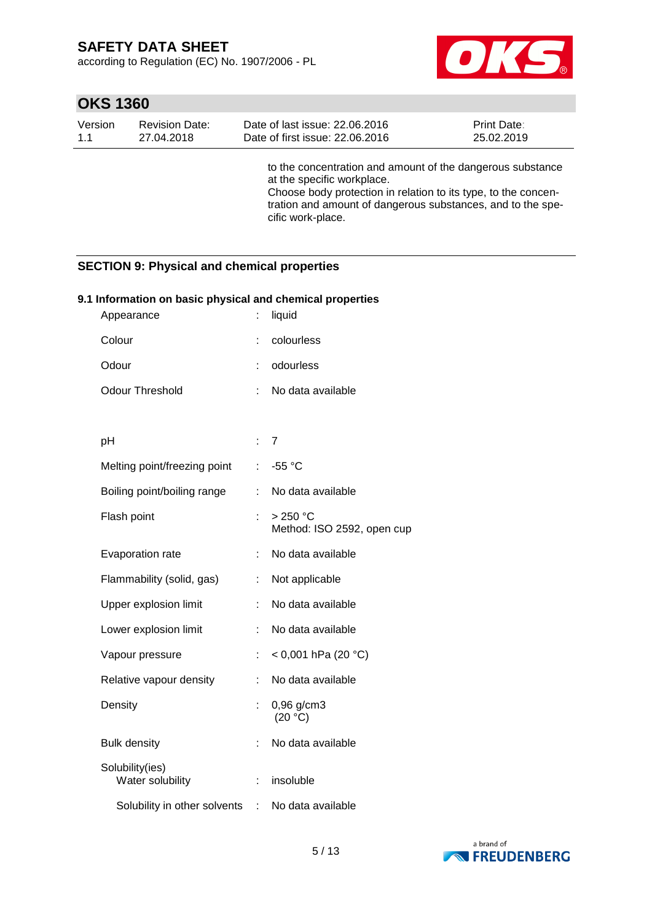according to Regulation (EC) No. 1907/2006 - PL



# **OKS 1360**

| Version | <b>Revision Date:</b> | Date of last issue: 22.06.2016                                                                                                                                                                                                                 | <b>Print Date:</b> |
|---------|-----------------------|------------------------------------------------------------------------------------------------------------------------------------------------------------------------------------------------------------------------------------------------|--------------------|
| 1.1     | 27.04.2018            | Date of first issue: 22.06.2016                                                                                                                                                                                                                | 25.02.2019         |
|         |                       | to the concentration and amount of the dangerous substance<br>at the specific workplace.<br>Choose body protection in relation to its type, to the concen-<br>tration and amount of dangerous substances, and to the spe-<br>cific work-place. |                    |

### **SECTION 9: Physical and chemical properties**

#### **9.1 Information on basic physical and chemical properties**

| Appearance                          |                           | liquid                                |
|-------------------------------------|---------------------------|---------------------------------------|
| Colour                              |                           | colourless                            |
| Odour                               |                           | odourless                             |
| <b>Odour Threshold</b>              | ÷                         | No data available                     |
|                                     |                           |                                       |
| рH                                  | $\mathbb{R}^{\mathbb{Z}}$ | 7                                     |
| Melting point/freezing point        | t.                        | -55 °C                                |
| Boiling point/boiling range         | t.                        | No data available                     |
| Flash point                         | ł.                        | >250 °C<br>Method: ISO 2592, open cup |
| Evaporation rate                    | ÷.                        | No data available                     |
| Flammability (solid, gas)           | ÷.                        | Not applicable                        |
| Upper explosion limit               | t.                        | No data available                     |
| Lower explosion limit               | t,                        | No data available                     |
| Vapour pressure                     | ÷                         | < 0,001 hPa (20 $^{\circ}$ C)         |
| Relative vapour density             |                           | No data available                     |
| Density                             | ÷                         | 0,96 g/cm3<br>(20 °C)                 |
| <b>Bulk density</b>                 |                           | No data available                     |
| Solubility(ies)<br>Water solubility | t                         | insoluble                             |
| Solubility in other solvents        | ÷                         | No data available                     |

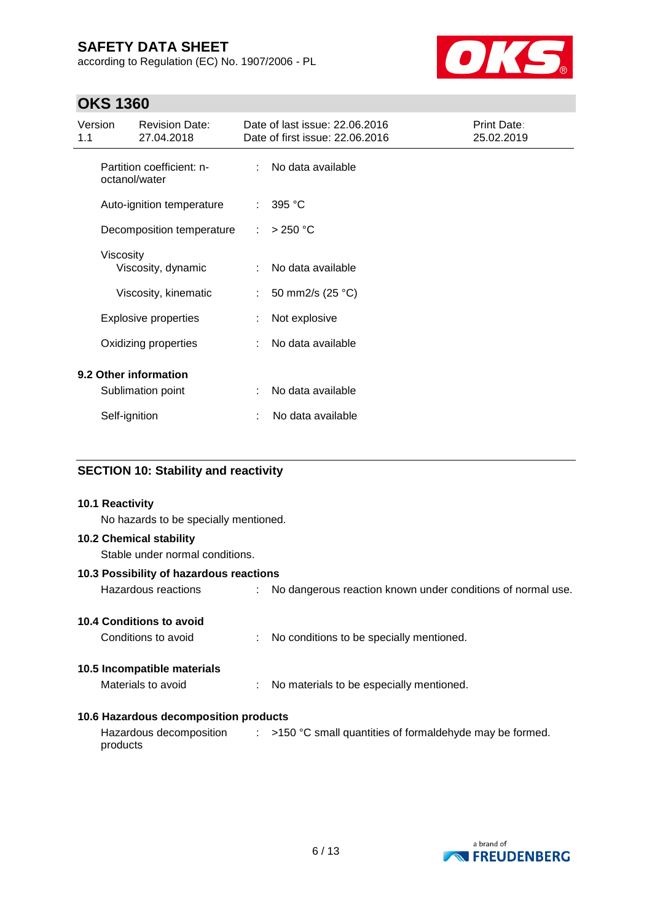according to Regulation (EC) No. 1907/2006 - PL



# **OKS 1360**

| Version<br>1.1 |               | <b>Revision Date:</b><br>27.04.2018        |                           | Date of last issue: 22.06.2016<br>Date of first issue: 22.06.2016 | Print Date:<br>25.02.2019 |
|----------------|---------------|--------------------------------------------|---------------------------|-------------------------------------------------------------------|---------------------------|
|                |               | Partition coefficient: n-<br>octanol/water | ÷                         | No data available                                                 |                           |
|                |               | Auto-ignition temperature                  | ÷                         | 395 °C                                                            |                           |
|                |               | Decomposition temperature                  | ÷                         | $>250$ °C                                                         |                           |
|                | Viscosity     | Viscosity, dynamic                         | ÷                         | No data available                                                 |                           |
|                |               | Viscosity, kinematic                       | $\mathbb{R}^{\mathbb{Z}}$ | 50 mm2/s (25 °C)                                                  |                           |
|                |               | <b>Explosive properties</b>                |                           | Not explosive                                                     |                           |
|                |               | Oxidizing properties                       |                           | No data available                                                 |                           |
|                |               | 9.2 Other information                      |                           |                                                                   |                           |
|                |               | Sublimation point                          | ÷                         | No data available                                                 |                           |
|                | Self-ignition |                                            |                           | No data available                                                 |                           |

### **SECTION 10: Stability and reactivity**

# **10.1 Reactivity** No hazards to be specially mentioned. **10.2 Chemical stability** Stable under normal conditions. **10.3 Possibility of hazardous reactions** Hazardous reactions : No dangerous reaction known under conditions of normal use. **10.4 Conditions to avoid** Conditions to avoid : No conditions to be specially mentioned. **10.5 Incompatible materials** Materials to avoid : No materials to be especially mentioned. **10.6 Hazardous decomposition products** Hazardous decomposition  $\qquad : \qquad$  >150 °C small quantities of formaldehyde may be formed. products

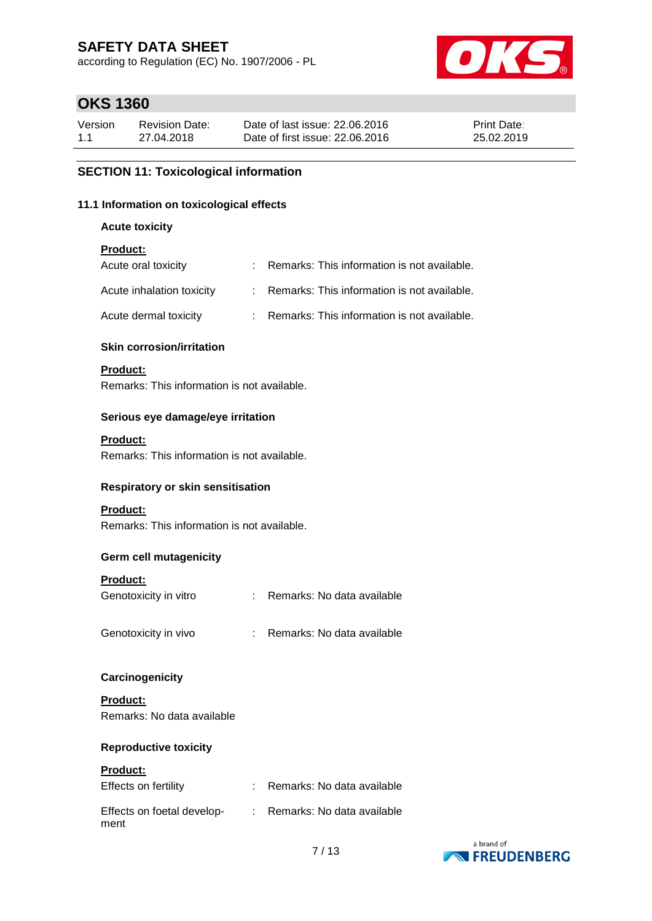according to Regulation (EC) No. 1907/2006 - PL



# **OKS 1360**

| Version | <b>Revision Date:</b> | Date of last issue: 22,06,2016  | <b>Print Date:</b> |
|---------|-----------------------|---------------------------------|--------------------|
| 1.1     | 27.04.2018            | Date of first issue: 22.06.2016 | 25.02.2019         |

#### **SECTION 11: Toxicological information**

#### **11.1 Information on toxicological effects**

**Acute toxicity**

#### **Product:**

| Acute oral toxicity       | : Remarks: This information is not available. |
|---------------------------|-----------------------------------------------|
| Acute inhalation toxicity | : Remarks: This information is not available. |
| Acute dermal toxicity     | : Remarks: This information is not available. |

#### **Skin corrosion/irritation**

#### **Product:**

Remarks: This information is not available.

#### **Serious eye damage/eye irritation**

#### **Product:**

Remarks: This information is not available.

#### **Respiratory or skin sensitisation**

#### **Product:**

Remarks: This information is not available.

#### **Germ cell mutagenicity**

#### **Product:**

| Genotoxicity in vitro | Remarks: No data available |
|-----------------------|----------------------------|
| Genotoxicity in vivo  | Remarks: No data available |

#### **Carcinogenicity**

**Product:** Remarks: No data available

#### **Reproductive toxicity**

#### **Product:**

| Effects on fertility               | Remarks: No data available |
|------------------------------------|----------------------------|
| Effects on foetal develop-<br>ment | Remarks: No data available |

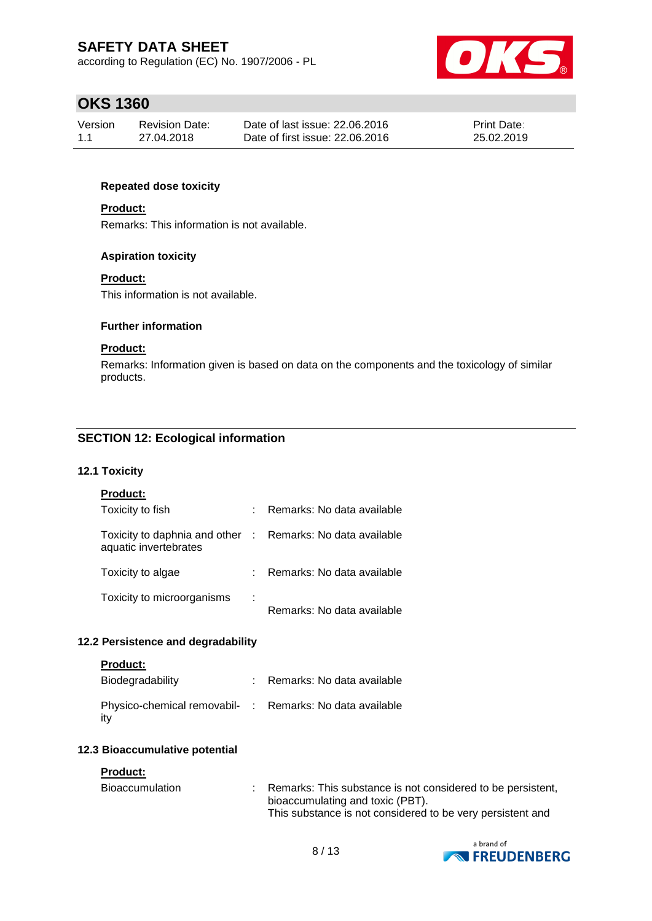according to Regulation (EC) No. 1907/2006 - PL



### **OKS 1360**

| Version | Revision Date: | Date of last issue: 22,06,2016  | <b>Print Date:</b> |
|---------|----------------|---------------------------------|--------------------|
| 1.1     | 27.04.2018     | Date of first issue: 22.06.2016 | 25.02.2019         |

#### **Repeated dose toxicity**

#### **Product:**

Remarks: This information is not available.

#### **Aspiration toxicity**

#### **Product:**

This information is not available.

#### **Further information**

#### **Product:**

Remarks: Information given is based on data on the components and the toxicology of similar products.

### **SECTION 12: Ecological information**

#### **12.1 Toxicity**

|  |  | Product: |  |  |  |
|--|--|----------|--|--|--|
|--|--|----------|--|--|--|

| Toxicity to fish                                                                    |   | : Remarks: No data available |
|-------------------------------------------------------------------------------------|---|------------------------------|
| Toxicity to daphnia and other : Remarks: No data available<br>aquatic invertebrates |   |                              |
| Toxicity to algae                                                                   |   | : Remarks: No data available |
| Toxicity to microorganisms                                                          | ÷ | Remarks: No data available   |

#### **12.2 Persistence and degradability**

#### **Product:**

| Biodegradability                                                 | Remarks: No data available |
|------------------------------------------------------------------|----------------------------|
| Physico-chemical removabil- : Remarks: No data available<br>∣it∨ |                            |

#### **12.3 Bioaccumulative potential**

#### **Product:**

| <b>Bioaccumulation</b> | Remarks: This substance is not considered to be persistent, |
|------------------------|-------------------------------------------------------------|
|                        | bioaccumulating and toxic (PBT).                            |
|                        | This substance is not considered to be very persistent and  |

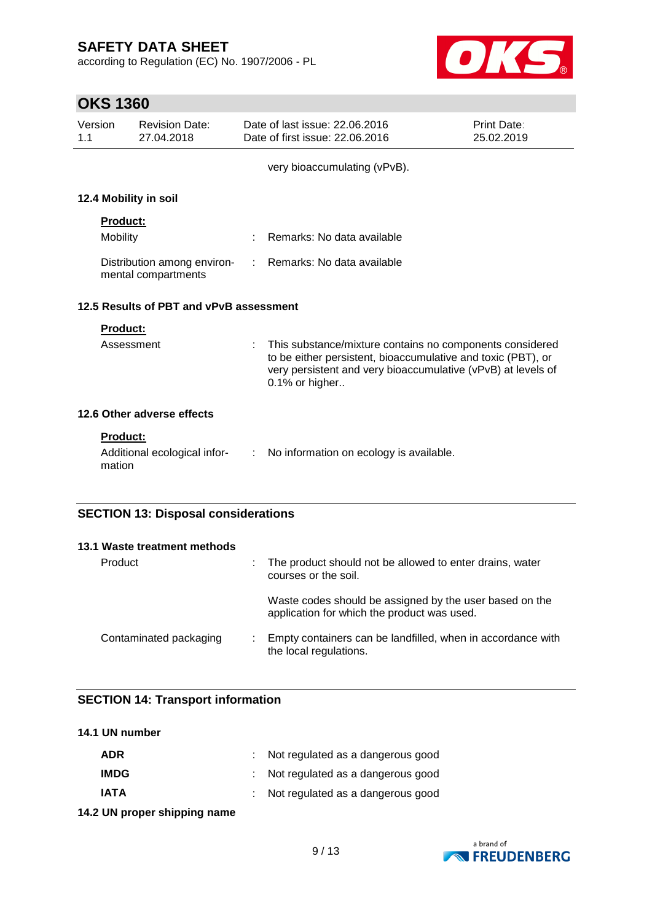according to Regulation (EC) No. 1907/2006 - PL



# **OKS 1360**

| Version<br>1.1                          | <b>Revision Date:</b><br>27.04.2018                |            | Date of last issue: 22.06.2016<br>Date of first issue: 22,06,2016                                                                                                                                          | Print Date:<br>25.02.2019 |  |  |
|-----------------------------------------|----------------------------------------------------|------------|------------------------------------------------------------------------------------------------------------------------------------------------------------------------------------------------------------|---------------------------|--|--|
|                                         |                                                    |            | very bioaccumulating (vPvB).                                                                                                                                                                               |                           |  |  |
|                                         | 12.4 Mobility in soil                              |            |                                                                                                                                                                                                            |                           |  |  |
|                                         | <b>Product:</b><br><b>Mobility</b>                 |            | Remarks: No data available                                                                                                                                                                                 |                           |  |  |
|                                         | Distribution among environ-<br>mental compartments | $\sim 100$ | Remarks: No data available                                                                                                                                                                                 |                           |  |  |
| 12.5 Results of PBT and vPvB assessment |                                                    |            |                                                                                                                                                                                                            |                           |  |  |
|                                         | <b>Product:</b>                                    |            |                                                                                                                                                                                                            |                           |  |  |
|                                         | Assessment                                         |            | This substance/mixture contains no components considered<br>to be either persistent, bioaccumulative and toxic (PBT), or<br>very persistent and very bioaccumulative (vPvB) at levels of<br>0.1% or higher |                           |  |  |
|                                         | 12.6 Other adverse effects                         |            |                                                                                                                                                                                                            |                           |  |  |
|                                         | <b>Product:</b>                                    |            |                                                                                                                                                                                                            |                           |  |  |
|                                         | Additional ecological infor-<br>mation             |            | : No information on ecology is available.                                                                                                                                                                  |                           |  |  |
|                                         | <b>SECTION 13: Disposal considerations</b>         |            |                                                                                                                                                                                                            |                           |  |  |

| 13.1 Waste treatment methods |                                                                                                        |
|------------------------------|--------------------------------------------------------------------------------------------------------|
| Product                      | : The product should not be allowed to enter drains, water<br>courses or the soil.                     |
|                              | Waste codes should be assigned by the user based on the<br>application for which the product was used. |
| Contaminated packaging       | : Empty containers can be landfilled, when in accordance with<br>the local regulations.                |

### **SECTION 14: Transport information**

| 14.1 UN number |                                     |
|----------------|-------------------------------------|
| ADR            | : Not regulated as a dangerous good |
| <b>IMDG</b>    | : Not regulated as a dangerous good |
| IATA           | : Not regulated as a dangerous good |
|                |                                     |

**14.2 UN proper shipping name**

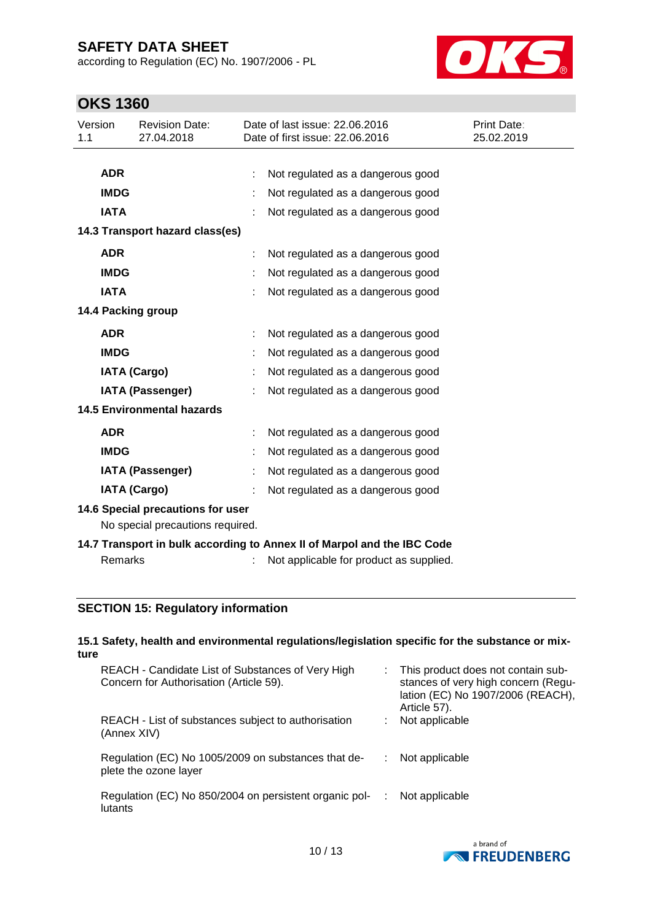according to Regulation (EC) No. 1907/2006 - PL



# **OKS 1360**

| Version<br>1.1                                                          |                | <b>Revision Date:</b><br>27.04.2018 |  | Date of last issue: 22.06.2016<br>Date of first issue: 22,06,2016 | Print Date:<br>25.02.2019 |
|-------------------------------------------------------------------------|----------------|-------------------------------------|--|-------------------------------------------------------------------|---------------------------|
|                                                                         |                |                                     |  |                                                                   |                           |
|                                                                         | <b>ADR</b>     |                                     |  | Not regulated as a dangerous good                                 |                           |
|                                                                         | <b>IMDG</b>    |                                     |  | Not regulated as a dangerous good                                 |                           |
|                                                                         | <b>IATA</b>    |                                     |  | Not regulated as a dangerous good                                 |                           |
| 14.3 Transport hazard class(es)                                         |                |                                     |  |                                                                   |                           |
|                                                                         | <b>ADR</b>     |                                     |  | Not regulated as a dangerous good                                 |                           |
|                                                                         | <b>IMDG</b>    |                                     |  | Not regulated as a dangerous good                                 |                           |
|                                                                         | <b>IATA</b>    |                                     |  | Not regulated as a dangerous good                                 |                           |
|                                                                         |                | 14.4 Packing group                  |  |                                                                   |                           |
|                                                                         | <b>ADR</b>     |                                     |  | Not regulated as a dangerous good                                 |                           |
|                                                                         | <b>IMDG</b>    |                                     |  | Not regulated as a dangerous good                                 |                           |
|                                                                         |                | <b>IATA (Cargo)</b>                 |  | Not regulated as a dangerous good                                 |                           |
|                                                                         |                | IATA (Passenger)                    |  | Not regulated as a dangerous good                                 |                           |
| <b>14.5 Environmental hazards</b>                                       |                |                                     |  |                                                                   |                           |
|                                                                         | <b>ADR</b>     |                                     |  | Not regulated as a dangerous good                                 |                           |
|                                                                         | <b>IMDG</b>    |                                     |  | Not regulated as a dangerous good                                 |                           |
|                                                                         |                | <b>IATA (Passenger)</b>             |  | Not regulated as a dangerous good                                 |                           |
|                                                                         |                | <b>IATA (Cargo)</b>                 |  | Not regulated as a dangerous good                                 |                           |
| 14.6 Special precautions for user                                       |                |                                     |  |                                                                   |                           |
| No special precautions required.                                        |                |                                     |  |                                                                   |                           |
| 14.7 Transport in bulk according to Annex II of Marpol and the IBC Code |                |                                     |  |                                                                   |                           |
|                                                                         | <b>Remarks</b> |                                     |  | Not applicable for product as supplied.                           |                           |

### **SECTION 15: Regulatory information**

#### **15.1 Safety, health and environmental regulations/legislation specific for the substance or mixture** REACH - Candidate List of Substances of Very High Concern for Authorisation (Article 59). : This product does not contain substances of very high concern (Regulation (EC) No 1907/2006 (REACH), Article 57). REACH - List of substances subject to authorisation (Annex XIV) : Not applicable Regulation (EC) No 1005/2009 on substances that deplete the ozone layer : Not applicable

Regulation (EC) No 850/2004 on persistent organic pollutants : Not applicable

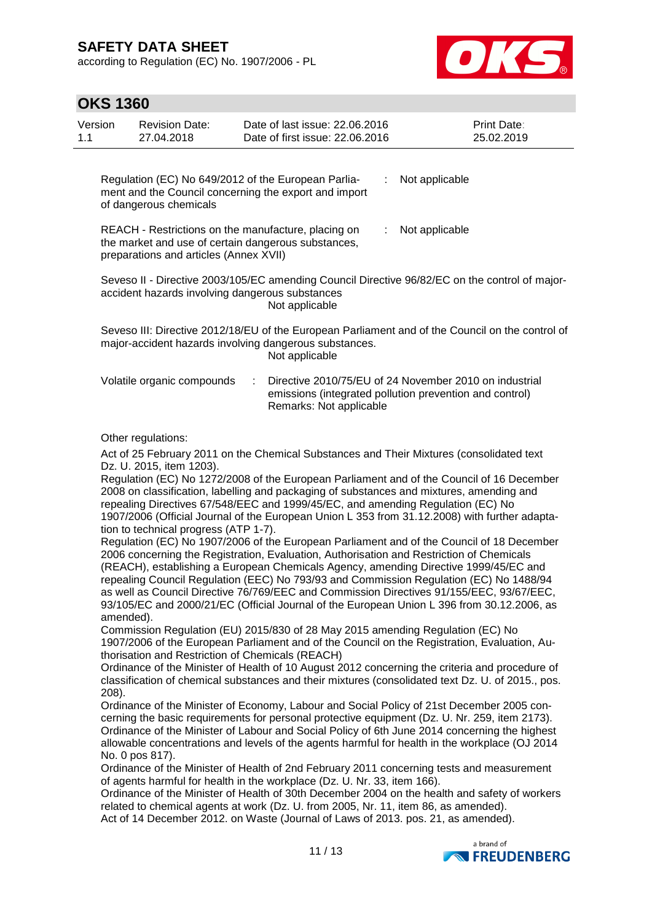according to Regulation (EC) No. 1907/2006 - PL



| <b>OKS 1360</b>    |                                                                                                                                                                              |                                                                                                                                                                                                                                                                                                                                                                                                                                                                                                                                                                                                                                                                                                                                                                                                                                                                                                                                                                                                                                                                                                                                                                                                                                                                                                                                                                                                                                                                                                                                                                                                                                                                                                                                                                                                                                                                                                                                                                                                                                                                                                                                                                                                                                                                                                                                                |                                                                                                |  |  |  |
|--------------------|------------------------------------------------------------------------------------------------------------------------------------------------------------------------------|------------------------------------------------------------------------------------------------------------------------------------------------------------------------------------------------------------------------------------------------------------------------------------------------------------------------------------------------------------------------------------------------------------------------------------------------------------------------------------------------------------------------------------------------------------------------------------------------------------------------------------------------------------------------------------------------------------------------------------------------------------------------------------------------------------------------------------------------------------------------------------------------------------------------------------------------------------------------------------------------------------------------------------------------------------------------------------------------------------------------------------------------------------------------------------------------------------------------------------------------------------------------------------------------------------------------------------------------------------------------------------------------------------------------------------------------------------------------------------------------------------------------------------------------------------------------------------------------------------------------------------------------------------------------------------------------------------------------------------------------------------------------------------------------------------------------------------------------------------------------------------------------------------------------------------------------------------------------------------------------------------------------------------------------------------------------------------------------------------------------------------------------------------------------------------------------------------------------------------------------------------------------------------------------------------------------------------------------|------------------------------------------------------------------------------------------------|--|--|--|
| Version<br>1.1     | <b>Revision Date:</b><br>27.04.2018                                                                                                                                          | Date of last issue: 22.06.2016<br>Date of first issue: 22.06.2016                                                                                                                                                                                                                                                                                                                                                                                                                                                                                                                                                                                                                                                                                                                                                                                                                                                                                                                                                                                                                                                                                                                                                                                                                                                                                                                                                                                                                                                                                                                                                                                                                                                                                                                                                                                                                                                                                                                                                                                                                                                                                                                                                                                                                                                                              | Print Date:<br>25.02.2019                                                                      |  |  |  |
|                    | of dangerous chemicals                                                                                                                                                       | Regulation (EC) No 649/2012 of the European Parlia-<br>t<br>ment and the Council concerning the export and import                                                                                                                                                                                                                                                                                                                                                                                                                                                                                                                                                                                                                                                                                                                                                                                                                                                                                                                                                                                                                                                                                                                                                                                                                                                                                                                                                                                                                                                                                                                                                                                                                                                                                                                                                                                                                                                                                                                                                                                                                                                                                                                                                                                                                              | Not applicable                                                                                 |  |  |  |
|                    | preparations and articles (Annex XVII)                                                                                                                                       | REACH - Restrictions on the manufacture, placing on<br>the market and use of certain dangerous substances,                                                                                                                                                                                                                                                                                                                                                                                                                                                                                                                                                                                                                                                                                                                                                                                                                                                                                                                                                                                                                                                                                                                                                                                                                                                                                                                                                                                                                                                                                                                                                                                                                                                                                                                                                                                                                                                                                                                                                                                                                                                                                                                                                                                                                                     | Not applicable                                                                                 |  |  |  |
|                    |                                                                                                                                                                              | accident hazards involving dangerous substances<br>Not applicable                                                                                                                                                                                                                                                                                                                                                                                                                                                                                                                                                                                                                                                                                                                                                                                                                                                                                                                                                                                                                                                                                                                                                                                                                                                                                                                                                                                                                                                                                                                                                                                                                                                                                                                                                                                                                                                                                                                                                                                                                                                                                                                                                                                                                                                                              | Seveso II - Directive 2003/105/EC amending Council Directive 96/82/EC on the control of major- |  |  |  |
|                    | Seveso III: Directive 2012/18/EU of the European Parliament and of the Council on the control of<br>major-accident hazards involving dangerous substances.<br>Not applicable |                                                                                                                                                                                                                                                                                                                                                                                                                                                                                                                                                                                                                                                                                                                                                                                                                                                                                                                                                                                                                                                                                                                                                                                                                                                                                                                                                                                                                                                                                                                                                                                                                                                                                                                                                                                                                                                                                                                                                                                                                                                                                                                                                                                                                                                                                                                                                |                                                                                                |  |  |  |
|                    | Volatile organic compounds                                                                                                                                                   | ÷<br>emissions (integrated pollution prevention and control)<br>Remarks: Not applicable                                                                                                                                                                                                                                                                                                                                                                                                                                                                                                                                                                                                                                                                                                                                                                                                                                                                                                                                                                                                                                                                                                                                                                                                                                                                                                                                                                                                                                                                                                                                                                                                                                                                                                                                                                                                                                                                                                                                                                                                                                                                                                                                                                                                                                                        | Directive 2010/75/EU of 24 November 2010 on industrial                                         |  |  |  |
| amended).<br>208). | Other regulations:<br>Dz. U. 2015, item 1203).<br>tion to technical progress (ATP 1-7).<br>No. 0 pos 817).                                                                   | Act of 25 February 2011 on the Chemical Substances and Their Mixtures (consolidated text<br>Regulation (EC) No 1272/2008 of the European Parliament and of the Council of 16 December<br>2008 on classification, labelling and packaging of substances and mixtures, amending and<br>repealing Directives 67/548/EEC and 1999/45/EC, and amending Regulation (EC) No<br>1907/2006 (Official Journal of the European Union L 353 from 31.12.2008) with further adapta-<br>Regulation (EC) No 1907/2006 of the European Parliament and of the Council of 18 December<br>2006 concerning the Registration, Evaluation, Authorisation and Restriction of Chemicals<br>(REACH), establishing a European Chemicals Agency, amending Directive 1999/45/EC and<br>repealing Council Regulation (EEC) No 793/93 and Commission Regulation (EC) No 1488/94<br>as well as Council Directive 76/769/EEC and Commission Directives 91/155/EEC, 93/67/EEC,<br>93/105/EC and 2000/21/EC (Official Journal of the European Union L 396 from 30.12.2006, as<br>Commission Regulation (EU) 2015/830 of 28 May 2015 amending Regulation (EC) No<br>1907/2006 of the European Parliament and of the Council on the Registration, Evaluation, Au-<br>thorisation and Restriction of Chemicals (REACH)<br>Ordinance of the Minister of Health of 10 August 2012 concerning the criteria and procedure of<br>classification of chemical substances and their mixtures (consolidated text Dz. U. of 2015., pos.<br>Ordinance of the Minister of Economy, Labour and Social Policy of 21st December 2005 con-<br>cerning the basic requirements for personal protective equipment (Dz. U. Nr. 259, item 2173).<br>Ordinance of the Minister of Labour and Social Policy of 6th June 2014 concerning the highest<br>allowable concentrations and levels of the agents harmful for health in the workplace (OJ 2014<br>Ordinance of the Minister of Health of 2nd February 2011 concerning tests and measurement<br>of agents harmful for health in the workplace (Dz. U. Nr. 33, item 166).<br>Ordinance of the Minister of Health of 30th December 2004 on the health and safety of workers<br>related to chemical agents at work (Dz. U. from 2005, Nr. 11, item 86, as amended).<br>Act of 14 December 2012. on Waste (Journal of Laws of 2013. pos. 21, as amended). |                                                                                                |  |  |  |

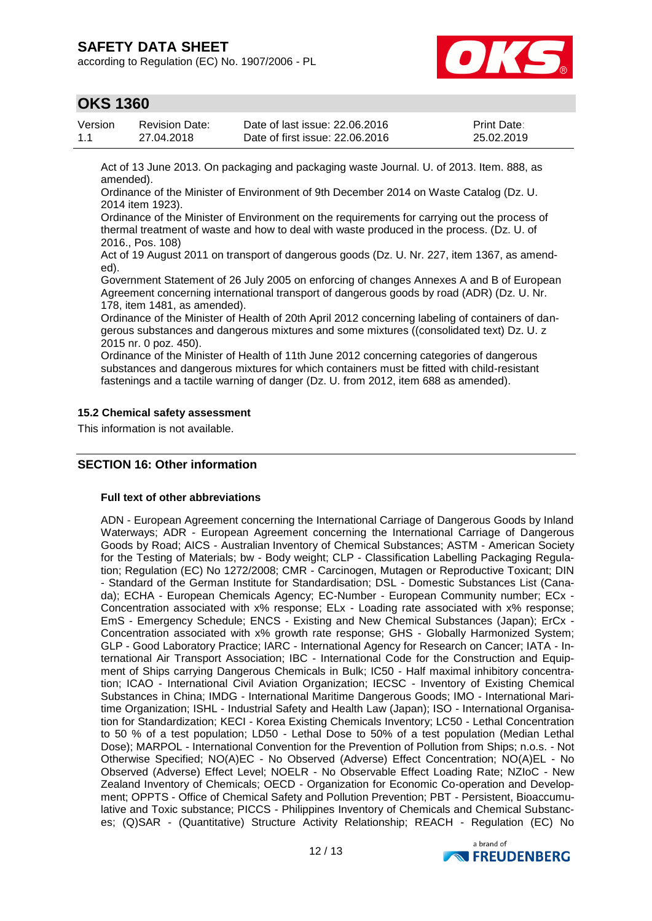according to Regulation (EC) No. 1907/2006 - PL



### **OKS 1360**

| Version | Revision Date: | Date of last issue: 22,06,2016  | <b>Print Date:</b> |
|---------|----------------|---------------------------------|--------------------|
| 1.1     | 27.04.2018     | Date of first issue: 22.06.2016 | 25.02.2019         |

Act of 13 June 2013. On packaging and packaging waste Journal. U. of 2013. Item. 888, as amended).

Ordinance of the Minister of Environment of 9th December 2014 on Waste Catalog (Dz. U. 2014 item 1923).

Ordinance of the Minister of Environment on the requirements for carrying out the process of thermal treatment of waste and how to deal with waste produced in the process. (Dz. U. of 2016., Pos. 108)

Act of 19 August 2011 on transport of dangerous goods (Dz. U. Nr. 227, item 1367, as amended).

Government Statement of 26 July 2005 on enforcing of changes Annexes A and B of European Agreement concerning international transport of dangerous goods by road (ADR) (Dz. U. Nr. 178, item 1481, as amended).

Ordinance of the Minister of Health of 20th April 2012 concerning labeling of containers of dangerous substances and dangerous mixtures and some mixtures ((consolidated text) Dz. U. z 2015 nr. 0 poz. 450).

Ordinance of the Minister of Health of 11th June 2012 concerning categories of dangerous substances and dangerous mixtures for which containers must be fitted with child-resistant fastenings and a tactile warning of danger (Dz. U. from 2012, item 688 as amended).

#### **15.2 Chemical safety assessment**

This information is not available.

### **SECTION 16: Other information**

#### **Full text of other abbreviations**

ADN - European Agreement concerning the International Carriage of Dangerous Goods by Inland Waterways; ADR - European Agreement concerning the International Carriage of Dangerous Goods by Road; AICS - Australian Inventory of Chemical Substances; ASTM - American Society for the Testing of Materials; bw - Body weight; CLP - Classification Labelling Packaging Regulation; Regulation (EC) No 1272/2008; CMR - Carcinogen, Mutagen or Reproductive Toxicant; DIN - Standard of the German Institute for Standardisation; DSL - Domestic Substances List (Canada); ECHA - European Chemicals Agency; EC-Number - European Community number; ECx - Concentration associated with x% response; ELx - Loading rate associated with x% response; EmS - Emergency Schedule; ENCS - Existing and New Chemical Substances (Japan); ErCx - Concentration associated with x% growth rate response; GHS - Globally Harmonized System; GLP - Good Laboratory Practice; IARC - International Agency for Research on Cancer; IATA - International Air Transport Association; IBC - International Code for the Construction and Equipment of Ships carrying Dangerous Chemicals in Bulk; IC50 - Half maximal inhibitory concentration; ICAO - International Civil Aviation Organization; IECSC - Inventory of Existing Chemical Substances in China; IMDG - International Maritime Dangerous Goods; IMO - International Maritime Organization; ISHL - Industrial Safety and Health Law (Japan); ISO - International Organisation for Standardization; KECI - Korea Existing Chemicals Inventory; LC50 - Lethal Concentration to 50 % of a test population; LD50 - Lethal Dose to 50% of a test population (Median Lethal Dose); MARPOL - International Convention for the Prevention of Pollution from Ships; n.o.s. - Not Otherwise Specified; NO(A)EC - No Observed (Adverse) Effect Concentration; NO(A)EL - No Observed (Adverse) Effect Level; NOELR - No Observable Effect Loading Rate; NZIoC - New Zealand Inventory of Chemicals; OECD - Organization for Economic Co-operation and Development; OPPTS - Office of Chemical Safety and Pollution Prevention; PBT - Persistent, Bioaccumulative and Toxic substance; PICCS - Philippines Inventory of Chemicals and Chemical Substances; (Q)SAR - (Quantitative) Structure Activity Relationship; REACH - Regulation (EC) No